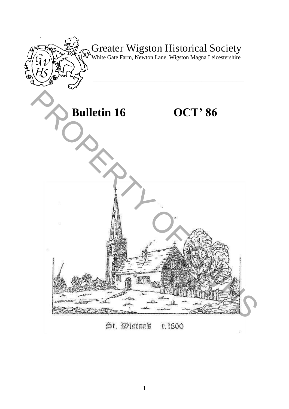

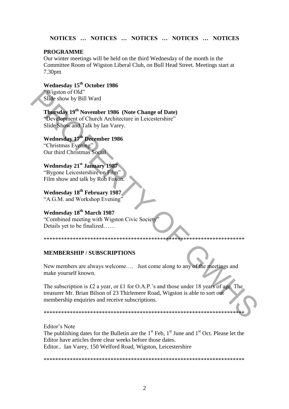#### **NOTICES … NOTICES … NOTICES … NOTICES … NOTICES**

#### **PROGRAMME**

Our winter meetings will be held on the third Wednesday of the month in the Committee Room of Wigston Liberal Club, on Bull Head Street. Meetings start at 7.30pm

**Wednesday 15th October 1986**  "Wigston of Old" Slide show by Bill Ward

### **Thursday 19th November 1986 (Note Change of Date)**

"Development of Church Architecture in Leicestershire" Slide Show and Talk by Ian Varey.

## **Wednesday 17th December 1986**

"Christmas Evening" Our third Christmas Social

## **Wednesday 21st January 1987**

"Bygone Leicestershire on Film" Film show and talk by Rob Foxon.

**Wednesday 18th February 1987**  "A.G.M. and Workshop Evening"

#### **Wednesday 18th March 1987**

"Combined meeting with Wigston Civic Society" Details yet to be finalized……

\*\*\*\*\*\*\*\*\*\*\*\*\*\*\*\*\*\*\*\*\*\*\*\*\*\*\*\*\*\*\*\*\*\*\*\*\*\*\*\*\*\*\*\*\*\*\*\*\*\*\*\*\*\*\*\*\*\*\*\*\*\*\*\*\*\*\*\*\*

#### **MEMBERSHIP / SUBSCRIPTIONS**

New members are always welcome…. Just come along to any of the meetings and make yourself known.

The subscription is £2 a year, or £1 for O.A.P.'s and those under 18 years of age. The treasurer Mr. Brian Bilson of 23 Thirlemere Road, Wigston is able to sort out membership enquiries and receive subscriptions. Wirgton of Od<sup>2</sup><br>
Slide show by Bill Ward<br>
Thursday 19<sup>th</sup> November 1986 (Note Change of Date)<br>
"Development of Church Architecture in Leicestershire"<br>
Slide Show and Talk by Ian Varey.<br>
Wednesday 18<sup>th</sup> Development - 198

\*\*\*\*\*\*\*\*\*\*\*\*\*\*\*\*\*\*\*\*\*\*\*\*\*\*\*\*\*\*\*\*\*\*\*\*\*\*\*\*\*\*\*\*\*\*\*\*\*\*\*\*\*\*\*\*\*\*\*\*\*\*\*\*\*\*\*\*\*

Editor"s Note

The publishing dates for the Bulletin are the  $1<sup>st</sup>$  Feb,  $1<sup>st</sup>$  June and  $1<sup>st</sup>$  Oct. Please let the Editor have articles three clear weeks before those dates. Editor.. Ian Varey, 150 Welford Road, Wigston, Leicestershire

\*\*\*\*\*\*\*\*\*\*\*\*\*\*\*\*\*\*\*\*\*\*\*\*\*\*\*\*\*\*\*\*\*\*\*\*\*\*\*\*\*\*\*\*\*\*\*\*\*\*\*\*\*\*\*\*\*\*\*\*\*\*\*\*\*\*\*\*\*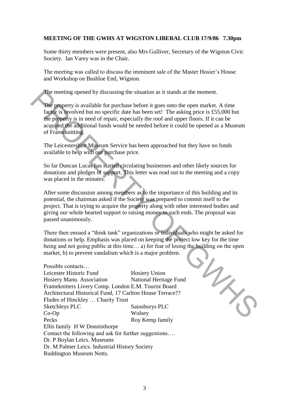#### **MEETING OF THE GWHS AT WIGSTON LIBERAL CLUB 17/9/86 7.30pm**

Some thirty members were present, also Mrs Gulliver, Secretary of the Wigston Civic Society. Ian Varey was in the Chair.

The meeting was called to discuss the imminent sale of the Master Hosier"s House and Workshop on Bushloe End, Wigston.

The meeting opened by discussing the situation as it stands at the moment.

The property is available for purchase before it goes onto the open market. A time factor is involved but no specific date has been set! The asking price is £55,000 but the property is in need of repair, especially the roof and upper floors. If it can be acquired the additional funds would be needed before it could be opened as a Museum of Frameknitting.

The Leicestershire Museum Service has been approached but they have no funds available to help with our purchase price.

So far Duncan Lucas has started circulating businesses and other likely sources for donations and pledges of support. This letter was read out to the meeting and a copy was placed in the minutes.

After some discussion among members as to the importance of this building and its potential, the chairman asked if the Society was prepared to commit itself to the project. That is trying to acquire the property along with other interested bodies and giving our whole hearted support to raising money to such ends. The proposal was passed unanimously.

There then ensued a "think tank" organizations or individuals who might be asked for being and not going public at this time… a) for fear of losing the building on the open market, b) to prevent vandalism which is a major problem.

donations or help. Emphasis was placed on keeping the project low key for the time<br>being and not going public at this time... a) for fear of losing the building on the open<br>market, b) to prevent vandalism which is a major Possible contacts… Leicester Historic Fund Hosiery Union Hosiery Manu. Association National Heritage Fund Frameknitters Livery Comp. London E.M. Tourist Board Architectural Historical Fund, 17 Carlton House Terrace?? Fludes of Hinckley … Charity Trust Sketchleys PLC Sainsburys PLC Co-Op Wolsey Pecks Roy Kemp family Ellis family H W Donnisthorpe Contact the following and ask for further suggestions…. Dr. P Boylan Leics. Museums Dr. M Palmer Leics. Industrial History Society Ruddington Museum Notts. The meeting opened by discussing the situation as it stands at the moment.<br>
The property is avvaliable for purchase before it goes onto the open market. A time<br>
faster is hyodyed but no specific date has been set! The ask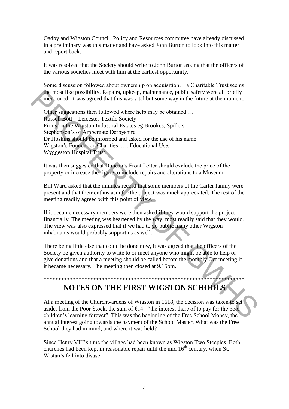Oadby and Wigston Council, Policy and Resources committee have already discussed in a preliminary was this matter and have asked John Burton to look into this matter and report back.

It was resolved that the Society should write to John Burton asking that the officers of the various societies meet with him at the earliest opportunity.

Some discussion followed about ownership on acquisition… a Charitable Trust seems the most like possibility. Repairs, upkeep, maintenance, public safety were all briefly mentioned. It was agreed that this was vital but some way in the future at the moment.

Other suggestions then followed where help may be obtained…. Russell Bott – Leicester Textile Society Firms on the Wigston Industrial Estates eg Brookes, Spillers Stephenson"s of Ambergate Derbyshire Dr Hoskins should be informed and asked for the use of his name Wigston"s Foundation Charities …. Educational Use. Wyggeston Hospital Trust the most like possibility. Repairs, upkeen, maintenance, public safety were all briefly<br>mentioned. It was agreed that this was vital but some way in the future at the moment.<br>
Other suggestions then followed where help ma

It was then suggested that Duncan"s Front Letter should exclude the price of the property or increase the figure to include repairs and alterations to a Museum.

Bill Ward asked that the minutes record that some members of the Carter family were present and that their enthusiasm for the project was much appreciated. The rest of the meeting readily agreed with this point of view.

If it became necessary members were then asked if they would support the project financially. The meeting was heartened by the way, most readily said that they would. The view was also expressed that if we had to go public many other Wigston inhabitants would probably support us as well.

There being little else that could be done now, it was agreed that the officers of the Society be given authority to write to or meet anyone who might be able to help or give donations and that a meeting should be called before the monthly Oct meeting if it became necessary. The meeting then closed at 9.15pm.

# \*\*\*\*\*\*\*\*\*\*\*\*\*\*\*\*\*\*\*\*\*\*\*\*\*\*\*\*\*\*\*\*\*\*\*\*\*\*\*\*\*\*\*\*\*\*\*\*\*\*\*\*\*\*\*\*\*\*\*\*\*\*\*\*\*\*\*\*\*

# **NOTES ON THE FIRST WIGSTON SCHOOLS**

At a meeting of the Churchwardens of Wigston in 1618, the decision was taken to set aside, from the Poor Stock, the sum of £14. "the interest there of to pay for the poor children"s learning forever" This was the beginning of the Free School Money, the annual interest going towards the payment of the School Master. What was the Free School they had in mind, and where it was held?

Since Henry VIII"s time the village had been known as Wigston Two Steeples. Both churches had been kept in reasonable repair until the mid  $16<sup>th</sup>$  century, when St. Wistan"s fell into disuse.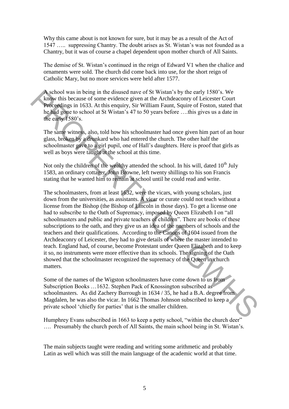Why this came about is not known for sure, but it may be as a result of the Act of 1547 ….. suppressing Chantry. The doubt arises as St. Wistan"s was not founded as a Chantry, but it was of course a chapel dependent upon mother church of All Saints.

The demise of St. Wistan"s continued in the reign of Edward V1 when the chalice and ornaments were sold. The church did come back into use, for the short reign of Catholic Mary, but no more services were held after 1577.

A school was in being in the disused nave of St Wistan"s by the early 1580"s. We know this because of some evidence given at the Archdeaconry of Leicester Court Proceedings in 1633. At this enquiry, Sir William Faunt, Squire of Foston, stated that he had gone to school at St Wistan's 47 to 50 years before ... this gives us a date in the early 1580's.

The same witness, also, told how his schoolmaster had once given him part of an hour glass, broken by a drunkard who had entered the church. The other half the schoolmaster gave to a girl pupil, one of Hall"s daughters. Here is proof that girls as well as boys were taught at the school at this time.

Not only the children of the wealthy attended the school. In his will, dated  $10<sup>th</sup>$  July 1583, an ordinary cottager, John Browne, left twenty shillings to his son Francis stating that he wanted him to remain at school until he could read and write.

The schoolmasters, from at least 1632, were the vicars, with young scholars, just down from the universities, as assistants. A vicar or curate could not teach without a license from the Bishop (the Bishop of Lincoln in those days). To get a license one had to subscribe to the Oath of Supremacy, imposed by Queen Elizabeth I on "all schoolmasters and public and private teachers of children". There are books of these subscriptions to the oath, and they give us an idea of the numbers of schools and the teachers and their qualifications. According to the Canons of 1604 issued from the Archdeaconry of Leicester, they had to give details of where the master intended to teach. England had, of course, become Protestant under Queen Elizabeth and to keep it so, no instruments were more effective than its schools. The signing of the Oath showed that the schoolmaster recognized the supremacy of the Queen in church matters. Neoholy was in being in the distact navor of SR Wistan's by the carly of Science scheme in the active constrained to the property of Eleiester Court Recogning in 1633. At this equitry, Sir William Faunt, Squire of Foston,

Some of the names of the Wigston schoolmasters have come down to us from Subscription Books …1632. Stephen Pack of Knossington subscribed as schoolmasters. As did Zachery Burrough in 1634 / 35, he had a B.A. degree from Magdalen, he was also the vicar. In 1662 Thomas Johnson subscribed to keep a private school "chiefly for parties" that is the smaller children.

Humphrey Evans subscribed in 1663 to keep a petty school, "within the church deer" …. Presumably the church porch of All Saints, the main school being in St. Wistan"s.

The main subjects taught were reading and writing some arithmetic and probably Latin as well which was still the main language of the academic world at that time.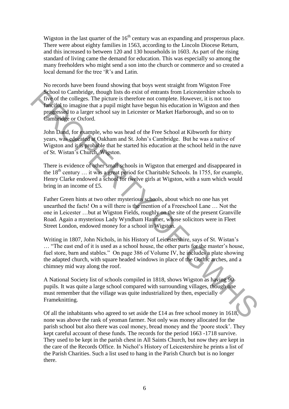Wigston in the last quarter of the  $16<sup>th</sup>$  century was an expanding and prosperous place. There were about eighty families in 1563, according to the Lincoln Diocese Return, and this increased to between 120 and 130 households in 1603. As part of the rising standard of living came the demand for education. This was especially so among the many freeholders who might send a son into the church or commerce and so created a local demand for the tree 'R's and Latin.

No records have been found showing that boys went straight from Wigston Free School to Cambridge, though lists do exist of entrants from Leicestershire schools to five of the colleges. The picture is therefore not complete. However, it is not too fanciful to imagine that a pupil might have begun his education in Wigston and then progressed to a larger school say in Leicester or Market Harborough, and so on to Cambridge or Oxford.

John Dand, for example, who was head of the Free School at Kibworth for thirty years, was educated at Oakham and St. John"s Cambridge. But he was a native of Wigston and it is probable that he started his education at the school held in the nave of St. Wistan"s Church, Wigston.

There is evidence of other small schools in Wigston that emerged and disappeared in the  $18<sup>th</sup>$  century  $\dots$  it was a great period for Charitable Schools. In 1755, for example, Henry Clarke endowed a school for twelve girls at Wigston, with a sum which would bring in an income of £5.

Father Green hints at two other mysterious schools, about which no one has yet unearthed the facts! On a will there is the mention of a Freeschool Lane … Not the one in Leicester …but at Wigston Fields, roughly on the site of the present Granville Road. Again a mysterious Lady Wyndham Hanmer, whose solicitors were in Fleet Street London, endowed money for a school in Wigston.

Writing in 1807, John Nichols, in his History of Leicestershire, says of St. Wistan"s … "The east end of it is used as a school house, the other parts for the master"s house, fuel store, barn and stables." On page 386 of Volume IV, he includes a plate showing the adapted church, with square headed windows in place of the Gothic arches, and a chimney mid way along the roof. Shool to Cambridge, though lists do exist of entrants from Eicestershire achoobs from the columes. The picture is therefore not complete. However, it is not to functifate to magine that a pupil might have begun his educat

A National Society list of schools compiled in 1818, shows Wigston as having 90 pupils. It was quite a large school compared with surrounding villages, though one must remember that the village was quite industrialized by then, especially Frameknitting.

Of all the inhabitants who agreed to set aside the £14 as free school money in 1618, none was above the rank of yeoman farmer. Not only was money allocated for the parish school but also there was coal money, bread money and the "poore stock". They kept careful account of these funds. The records for the period 1663 -1718 survive. They used to be kept in the parish chest in All Saints Church, but now they are kept in the care of the Records Office. In Nichol"s History of Leicestershire he prints a list of the Parish Charities. Such a list used to hang in the Parish Church but is no longer there.